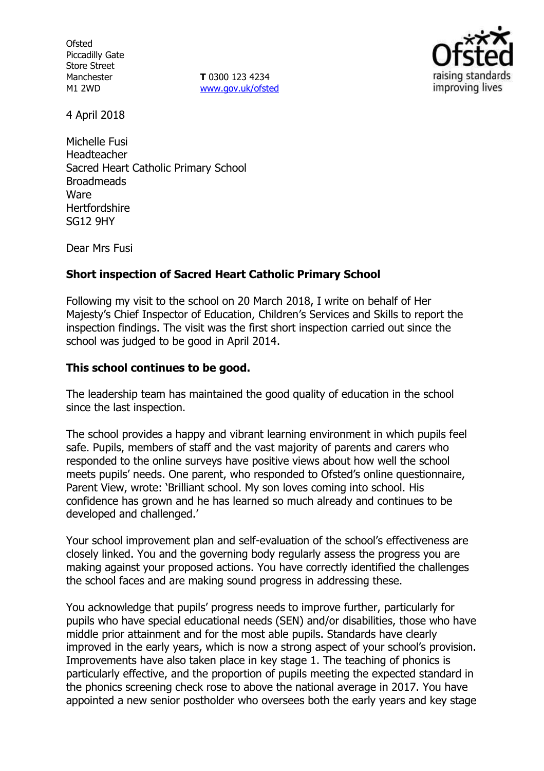**Ofsted** Piccadilly Gate Store Street Manchester M1 2WD

**T** 0300 123 4234 www.gov.uk/ofsted



4 April 2018

Michelle Fusi Headteacher Sacred Heart Catholic Primary School **Broadmeads** Ware **Hertfordshire** SG12 9HY

Dear Mrs Fusi

# **Short inspection of Sacred Heart Catholic Primary School**

Following my visit to the school on 20 March 2018, I write on behalf of Her Majesty's Chief Inspector of Education, Children's Services and Skills to report the inspection findings. The visit was the first short inspection carried out since the school was judged to be good in April 2014.

# **This school continues to be good.**

The leadership team has maintained the good quality of education in the school since the last inspection.

The school provides a happy and vibrant learning environment in which pupils feel safe. Pupils, members of staff and the vast majority of parents and carers who responded to the online surveys have positive views about how well the school meets pupils' needs. One parent, who responded to Ofsted's online questionnaire, Parent View, wrote: 'Brilliant school. My son loves coming into school. His confidence has grown and he has learned so much already and continues to be developed and challenged.'

Your school improvement plan and self-evaluation of the school's effectiveness are closely linked. You and the governing body regularly assess the progress you are making against your proposed actions. You have correctly identified the challenges the school faces and are making sound progress in addressing these.

You acknowledge that pupils' progress needs to improve further, particularly for pupils who have special educational needs (SEN) and/or disabilities, those who have middle prior attainment and for the most able pupils. Standards have clearly improved in the early years, which is now a strong aspect of your school's provision. Improvements have also taken place in key stage 1. The teaching of phonics is particularly effective, and the proportion of pupils meeting the expected standard in the phonics screening check rose to above the national average in 2017. You have appointed a new senior postholder who oversees both the early years and key stage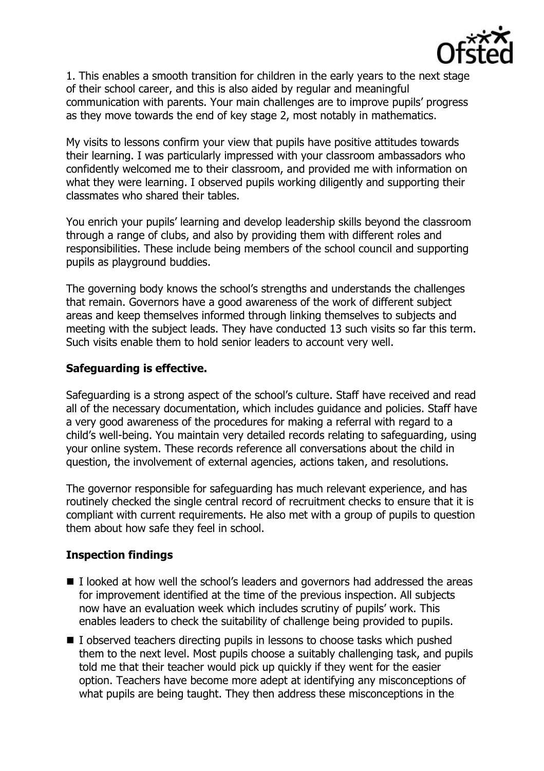

1. This enables a smooth transition for children in the early years to the next stage of their school career, and this is also aided by regular and meaningful communication with parents. Your main challenges are to improve pupils' progress as they move towards the end of key stage 2, most notably in mathematics.

My visits to lessons confirm your view that pupils have positive attitudes towards their learning. I was particularly impressed with your classroom ambassadors who confidently welcomed me to their classroom, and provided me with information on what they were learning. I observed pupils working diligently and supporting their classmates who shared their tables.

You enrich your pupils' learning and develop leadership skills beyond the classroom through a range of clubs, and also by providing them with different roles and responsibilities. These include being members of the school council and supporting pupils as playground buddies.

The governing body knows the school's strengths and understands the challenges that remain. Governors have a good awareness of the work of different subject areas and keep themselves informed through linking themselves to subjects and meeting with the subject leads. They have conducted 13 such visits so far this term. Such visits enable them to hold senior leaders to account very well.

# **Safeguarding is effective.**

Safeguarding is a strong aspect of the school's culture. Staff have received and read all of the necessary documentation, which includes guidance and policies. Staff have a very good awareness of the procedures for making a referral with regard to a child's well-being. You maintain very detailed records relating to safeguarding, using your online system. These records reference all conversations about the child in question, the involvement of external agencies, actions taken, and resolutions.

The governor responsible for safeguarding has much relevant experience, and has routinely checked the single central record of recruitment checks to ensure that it is compliant with current requirements. He also met with a group of pupils to question them about how safe they feel in school.

# **Inspection findings**

- I looked at how well the school's leaders and governors had addressed the areas for improvement identified at the time of the previous inspection. All subjects now have an evaluation week which includes scrutiny of pupils' work. This enables leaders to check the suitability of challenge being provided to pupils.
- I observed teachers directing pupils in lessons to choose tasks which pushed them to the next level. Most pupils choose a suitably challenging task, and pupils told me that their teacher would pick up quickly if they went for the easier option. Teachers have become more adept at identifying any misconceptions of what pupils are being taught. They then address these misconceptions in the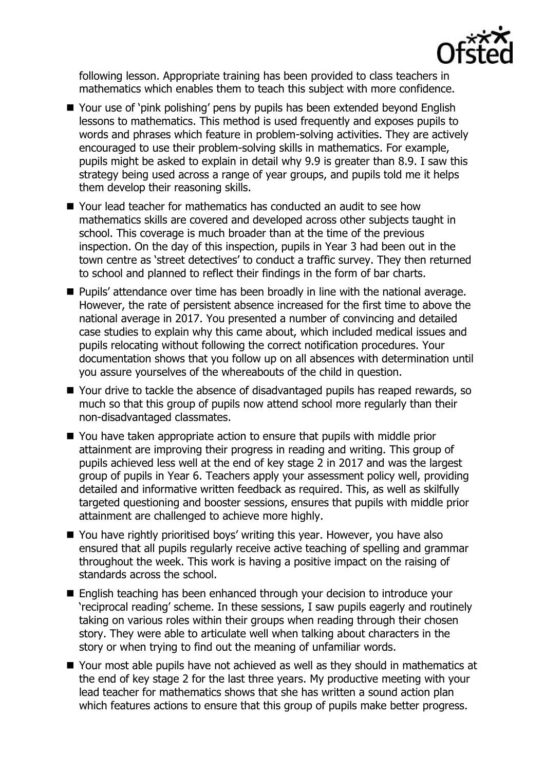

following lesson. Appropriate training has been provided to class teachers in mathematics which enables them to teach this subject with more confidence.

- Your use of 'pink polishing' pens by pupils has been extended beyond English lessons to mathematics. This method is used frequently and exposes pupils to words and phrases which feature in problem-solving activities. They are actively encouraged to use their problem-solving skills in mathematics. For example, pupils might be asked to explain in detail why 9.9 is greater than 8.9. I saw this strategy being used across a range of year groups, and pupils told me it helps them develop their reasoning skills.
- Your lead teacher for mathematics has conducted an audit to see how mathematics skills are covered and developed across other subjects taught in school. This coverage is much broader than at the time of the previous inspection. On the day of this inspection, pupils in Year 3 had been out in the town centre as 'street detectives' to conduct a traffic survey. They then returned to school and planned to reflect their findings in the form of bar charts.
- **Pupils' attendance over time has been broadly in line with the national average.** However, the rate of persistent absence increased for the first time to above the national average in 2017. You presented a number of convincing and detailed case studies to explain why this came about, which included medical issues and pupils relocating without following the correct notification procedures. Your documentation shows that you follow up on all absences with determination until you assure yourselves of the whereabouts of the child in question.
- Your drive to tackle the absence of disadvantaged pupils has reaped rewards, so much so that this group of pupils now attend school more regularly than their non-disadvantaged classmates.
- You have taken appropriate action to ensure that pupils with middle prior attainment are improving their progress in reading and writing. This group of pupils achieved less well at the end of key stage 2 in 2017 and was the largest group of pupils in Year 6. Teachers apply your assessment policy well, providing detailed and informative written feedback as required. This, as well as skilfully targeted questioning and booster sessions, ensures that pupils with middle prior attainment are challenged to achieve more highly.
- You have rightly prioritised boys' writing this year. However, you have also ensured that all pupils regularly receive active teaching of spelling and grammar throughout the week. This work is having a positive impact on the raising of standards across the school.
- **English teaching has been enhanced through your decision to introduce your** 'reciprocal reading' scheme. In these sessions, I saw pupils eagerly and routinely taking on various roles within their groups when reading through their chosen story. They were able to articulate well when talking about characters in the story or when trying to find out the meaning of unfamiliar words.
- Your most able pupils have not achieved as well as they should in mathematics at the end of key stage 2 for the last three years. My productive meeting with your lead teacher for mathematics shows that she has written a sound action plan which features actions to ensure that this group of pupils make better progress.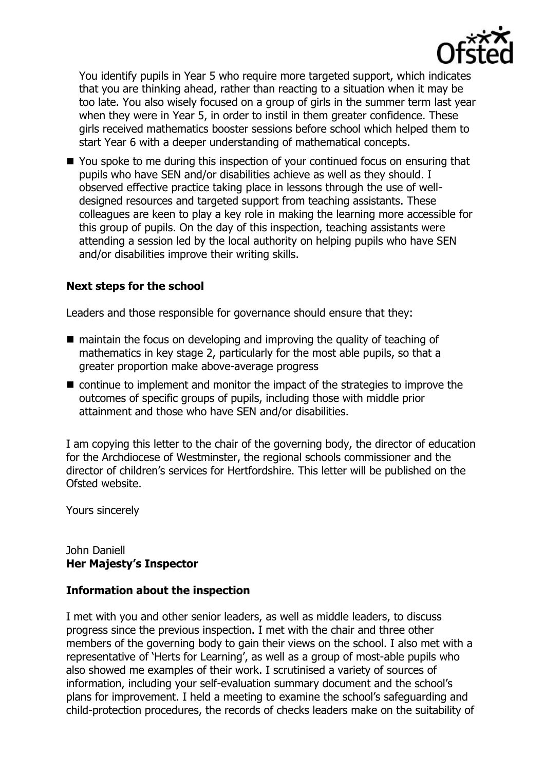

You identify pupils in Year 5 who require more targeted support, which indicates that you are thinking ahead, rather than reacting to a situation when it may be too late. You also wisely focused on a group of girls in the summer term last year when they were in Year 5, in order to instil in them greater confidence. These girls received mathematics booster sessions before school which helped them to start Year 6 with a deeper understanding of mathematical concepts.

■ You spoke to me during this inspection of your continued focus on ensuring that pupils who have SEN and/or disabilities achieve as well as they should. I observed effective practice taking place in lessons through the use of welldesigned resources and targeted support from teaching assistants. These colleagues are keen to play a key role in making the learning more accessible for this group of pupils. On the day of this inspection, teaching assistants were attending a session led by the local authority on helping pupils who have SEN and/or disabilities improve their writing skills.

# **Next steps for the school**

Leaders and those responsible for governance should ensure that they:

- maintain the focus on developing and improving the quality of teaching of mathematics in key stage 2, particularly for the most able pupils, so that a greater proportion make above-average progress
- continue to implement and monitor the impact of the strategies to improve the outcomes of specific groups of pupils, including those with middle prior attainment and those who have SEN and/or disabilities.

I am copying this letter to the chair of the governing body, the director of education for the Archdiocese of Westminster, the regional schools commissioner and the director of children's services for Hertfordshire. This letter will be published on the Ofsted website.

Yours sincerely

# John Daniell **Her Majesty's Inspector**

## **Information about the inspection**

I met with you and other senior leaders, as well as middle leaders, to discuss progress since the previous inspection. I met with the chair and three other members of the governing body to gain their views on the school. I also met with a representative of 'Herts for Learning', as well as a group of most-able pupils who also showed me examples of their work. I scrutinised a variety of sources of information, including your self-evaluation summary document and the school's plans for improvement. I held a meeting to examine the school's safeguarding and child-protection procedures, the records of checks leaders make on the suitability of